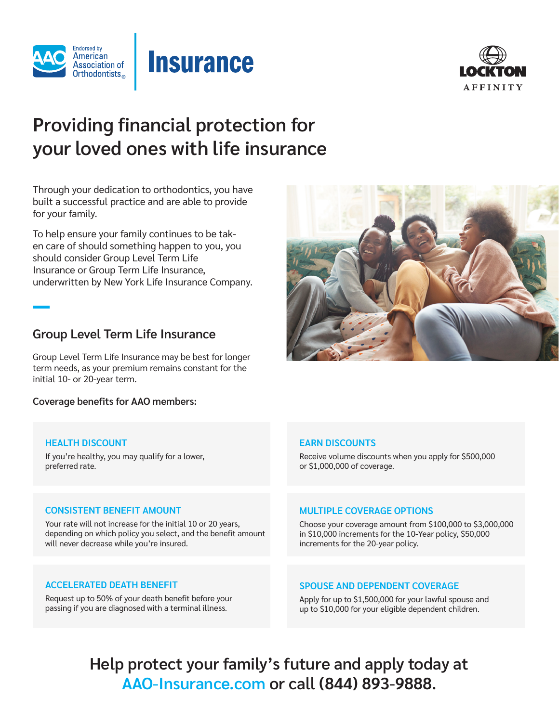



# **Providing financial protection for your loved ones with life insurance**

Through your dedication to orthodontics, you have built a successful practice and are able to provide for your family.

To help ensure your family continues to be taken care of should something happen to you, you should consider Group Level Term Life Insurance or Group Term Life Insurance, underwritten by New York Life Insurance Company.

# **Group Level Term Life Insurance**

Group Level Term Life Insurance may be best for longer term needs, as your premium remains constant for the initial 10- or 20-year term.

**Coverage benefits for AAO members:** 

# **HEALTH DISCOUNT**

If you're healthy, you may qualify for a lower, preferred rate.

# **EARN DISCOUNTS**

Receive volume discounts when you apply for \$500,000 or \$1,000,000 of coverage.

# **CONSISTENT BENEFIT AMOUNT**

Your rate will not increase for the initial 10 or 20 years, depending on which policy you select, and the benefit amount will never decrease while you're insured.

## **ACCELERATED DEATH BENEFIT**

Request up to 50% of your death benefit before your passing if you are diagnosed with a terminal illness.

# **MULTIPLE COVERAGE OPTIONS**

Choose your coverage amount from \$100,000 to \$3,000,000 in \$10,000 increments for the 10-Year policy, \$50,000 increments for the 20-year policy.

# **SPOUSE AND DEPENDENT COVERAGE**

Apply for up to \$1,500,000 for your lawful spouse and up to \$10,000 for your eligible dependent children.

**Help protect your family's future and apply today at AAO-Insurance.com or call (844) 893-9888.** 

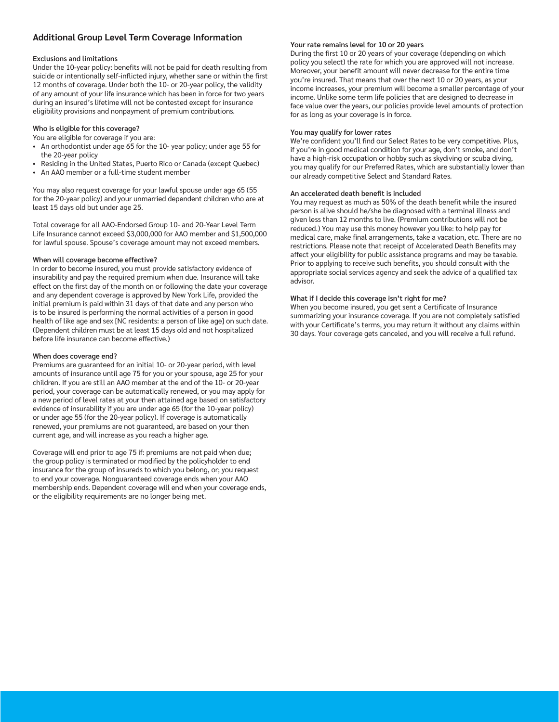# **Additional Group Level Term Coverage Information**

### **Exclusions and limitations**

Under the 10-year policy: benefits will not be paid for death resulting from suicide or intentionally self-inflicted injury, whether sane or within the first 12 months of coverage. Under both the 10- or 20-year policy, the validity of any amount of your life insurance which has been in force for two years during an insured's lifetime will not be contested except for insurance eligibility provisions and nonpayment of premium contributions.

### **Who is eligible for this coverage?**

You are eligible for coverage if you are:

- An orthodontist under age 65 for the 10- year policy; under age 55 for the 20-year policy
- Residing in the United States, Puerto Rico or Canada (except Quebec)
- An AAO member or a full-time student member

You may also request coverage for your lawful spouse under age 65 (55 for the 20-year policy) and your unmarried dependent children who are at least 15 days old but under age 25.

Total coverage for all AAO-Endorsed Group 10- and 20-Year Level Term Life Insurance cannot exceed \$3,000,000 for AAO member and \$1,500,000 for lawful spouse. Spouse's coverage amount may not exceed members.

#### **When will coverage become effective?**

In order to become insured, you must provide satisfactory evidence of insurability and pay the required premium when due. Insurance will take effect on the first day of the month on or following the date your coverage and any dependent coverage is approved by New York Life, provided the initial premium is paid within 31 days of that date and any person who is to be insured is performing the normal activities of a person in good health of like age and sex [NC residents: a person of like age] on such date. (Dependent children must be at least 15 days old and not hospitalized before life insurance can become effective.)

#### **When does coverage end?**

Premiums are guaranteed for an initial 10- or 20-year period, with level amounts of insurance until age 75 for you or your spouse, age 25 for your children. If you are still an AAO member at the end of the 10- or 20-year period, your coverage can be automatically renewed, or you may apply for a new period of level rates at your then attained age based on satisfactory evidence of insurability if you are under age 65 (for the 10-year policy) or under age 55 (for the 20-year policy). If coverage is automatically renewed, your premiums are not guaranteed, are based on your then current age, and will increase as you reach a higher age.

Coverage will end prior to age 75 if: premiums are not paid when due; the group policy is terminated or modified by the policyholder to end insurance for the group of insureds to which you belong, or; you request to end your coverage. Nonguaranteed coverage ends when your AAO membership ends. Dependent coverage will end when your coverage ends, or the eligibility requirements are no longer being met.

### **Your rate remains level for 10 or 20 years**

During the first 10 or 20 years of your coverage (depending on which policy you select) the rate for which you are approved will not increase. Moreover, your benefit amount will never decrease for the entire time you're insured. That means that over the next 10 or 20 years, as your income increases, your premium will become a smaller percentage of your income. Unlike some term life policies that are designed to decrease in face value over the years, our policies provide level amounts of protection for as long as your coverage is in force.

### **You may qualify for lower rates**

We're confident you'll find our Select Rates to be very competitive. Plus, if you're in good medical condition for your age, don't smoke, and don't have a high-risk occupation or hobby such as skydiving or scuba diving, you may qualify for our Preferred Rates, which are substantially lower than our already competitive Select and Standard Rates.

### **An accelerated death benefit is included**

You may request as much as 50% of the death benefit while the insured person is alive should he/she be diagnosed with a terminal illness and given less than 12 months to live. (Premium contributions will not be reduced.) You may use this money however you like: to help pay for medical care, make final arrangements, take a vacation, etc. There are no restrictions. Please note that receipt of Accelerated Death Benefits may affect your eligibility for public assistance programs and may be taxable. Prior to applying to receive such benefits, you should consult with the appropriate social services agency and seek the advice of a qualified tax advisor.

## **What if I decide this coverage isn't right for me?**

When you become insured, you get sent a Certificate of Insurance summarizing your insurance coverage. If you are not completely satisfied with your Certificate's terms, you may return it without any claims within 30 days. Your coverage gets canceled, and you will receive a full refund.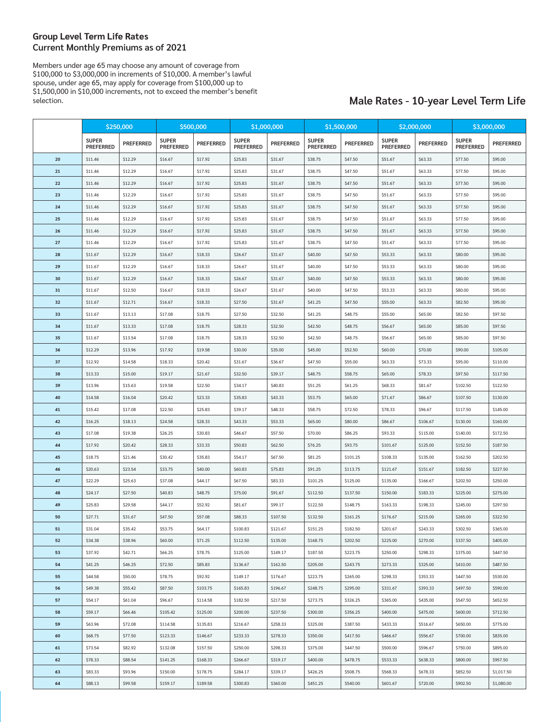### **Group Level Term Life Rates Current Monthly Premiums as of 2021**

Members under age 65 may choose any amount of coverage from \$100,000 to \$3,000,000 in increments of \$10,000. A member's lawful spouse, under age 65, may apply for coverage from \$100,000 up to \$1,500,000 in \$10,000 increments, not to exceed the member's benefit

# Male Rates - 10-year Level Term Life

|    | \$250,000                        |                  | \$500,000                        |                  | \$1,000,000                      |                  | \$1,500,000                      |           | \$2,000,000                      |           | \$3,000,000                      |                  |
|----|----------------------------------|------------------|----------------------------------|------------------|----------------------------------|------------------|----------------------------------|-----------|----------------------------------|-----------|----------------------------------|------------------|
|    | <b>SUPER</b><br><b>PREFERRED</b> | <b>PREFERRED</b> | <b>SUPER</b><br><b>PREFERRED</b> | <b>PREFERRED</b> | <b>SUPER</b><br><b>PREFERRED</b> | <b>PREFERRED</b> | <b>SUPER</b><br><b>PREFERRED</b> | PREFERRED | <b>SUPER</b><br><b>PREFERRED</b> | PREFERRED | <b>SUPER</b><br><b>PREFERRED</b> | <b>PREFERRED</b> |
| 20 | \$11.46                          | \$12.29          | \$16.67                          | \$17.92          | \$25.83                          | \$31.67          | \$38.75                          | \$47.50   | \$51.67                          | \$63.33   | \$77.50                          | \$95.00          |
| 21 | \$11.46                          | \$12.29          | \$16.67                          | \$17.92          | \$25.83                          | \$31.67          | \$38.75                          | \$47.50   | \$51.67                          | \$63.33   | \$77.50                          | \$95.00          |
| 22 | \$11.46                          | \$12.29          | \$16.67                          | \$17.92          | \$25.83                          | \$31.67          | \$38.75                          | \$47.50   | \$51.67                          | \$63.33   | \$77.50                          | \$95.00          |
| 23 | \$11.46                          | \$12.29          | \$16.67                          | \$17.92          | \$25.83                          | \$31.67          | \$38.75                          | \$47.50   | \$51.67                          | \$63.33   | \$77.50                          | \$95.00          |
| 24 | \$11.46                          | \$12.29          | \$16.67                          | \$17.92          | \$25.83                          | \$31.67          | \$38.75                          | \$47.50   | \$51.67                          | \$63.33   | \$77.50                          | \$95.00          |
| 25 | \$11.46                          | \$12.29          | \$16.67                          | \$17.92          | \$25.83                          | \$31.67          | \$38.75                          | \$47.50   | \$51.67                          | \$63.33   | \$77.50                          | \$95.00          |
| 26 | \$11.46                          | \$12.29          | \$16.67                          | \$17.92          | \$25.83                          | \$31.67          | \$38.75                          | \$47.50   | \$51.67                          | \$63.33   | \$77.50                          | \$95.00          |
| 27 | \$11.46                          | \$12.29          | \$16.67                          | \$17.92          | \$25.83                          | \$31.67          | \$38.75                          | \$47.50   | \$51.67                          | \$63.33   | \$77.50                          | \$95.00          |
| 28 | \$11.67                          | \$12.29          | \$16.67                          | \$18.33          | \$26.67                          | \$31.67          | \$40.00                          | \$47.50   | \$53.33                          | \$63.33   | \$80.00                          | \$95.00          |
| 29 | \$11.67                          | \$12.29          | \$16.67                          | \$18.33          | \$26.67                          | \$31.67          | \$40.00                          | \$47.50   | \$53.33                          | \$63.33   | \$80.00                          | \$95.00          |
| 30 | \$11.67                          | \$12.29          | \$16.67                          | \$18.33          | \$26.67                          | \$31.67          | \$40.00                          | \$47.50   | \$53.33                          | \$63.33   | \$80.00                          | \$95.00          |
| 31 | \$11.67                          | \$12.50          | \$16.67                          | \$18.33          | \$26.67                          | \$31.67          | \$40.00                          | \$47.50   | \$53.33                          | \$63.33   | \$80.00                          | \$95.00          |
| 32 | \$11.67                          | \$12.71          | \$16.67                          | \$18.33          | \$27.50                          | \$31.67          | \$41.25                          | \$47.50   | \$55.00                          | \$63.33   | \$82.50                          | \$95.00          |
| 33 | \$11.67                          | \$13.13          | \$17.08                          | \$18.75          | \$27.50                          | \$32.50          | \$41.25                          | \$48.75   | \$55.00                          | \$65.00   | \$82.50                          | \$97.50          |
| 34 | \$11.67                          | \$13.33          | \$17.08                          | \$18.75          | \$28.33                          | \$32.50          | \$42.50                          | \$48.75   | \$56.67                          | \$65.00   | \$85.00                          | \$97.50          |
| 35 | \$11.67                          | \$13.54          | \$17.08                          | \$18.75          | \$28.33                          | \$32.50          | \$42.50                          | \$48.75   | \$56.67                          | \$65.00   | \$85.00                          | \$97.50          |
| 36 | \$12.29                          | \$13.96          | \$17.92                          | \$19.58          | \$30.00                          | \$35.00          | \$45.00                          | \$52.50   | \$60.00                          | \$70.00   | \$90.00                          | \$105.00         |
| 37 | \$12.92                          | \$14.58          | \$18.33                          | \$20.42          | \$31.67                          | \$36.67          | \$47.50                          | \$55.00   | \$63.33                          | \$73.33   | \$95.00                          | \$110.00         |
| 38 | \$13.33                          | \$15.00          | \$19.17                          | \$21.67          | \$32.50                          | \$39.17          | \$48.75                          | \$58.75   | \$65.00                          | \$78.33   | \$97.50                          | \$117.50         |
| 39 | \$13.96                          | \$15.63          | \$19.58                          | \$22.50          | \$34.17                          | \$40.83          | \$51.25                          | \$61.25   | \$68.33                          | \$81.67   | \$102.50                         | \$122.50         |
| 40 | \$14.58                          | \$16.04          | \$20.42                          | \$23.33          | \$35.83                          | \$43.33          | \$53.75                          | \$65.00   | \$71.67                          | \$86.67   | \$107.50                         | \$130.00         |
| 41 | \$15.42                          | \$17.08          | \$22.50                          | \$25.83          | \$39.17                          | \$48.33          | \$58.75                          | \$72.50   | \$78.33                          | \$96.67   | \$117.50                         | \$145.00         |
| 42 | \$16.25                          | \$18.13          | \$24.58                          | \$28.33          | \$43.33                          | \$53.33          | \$65.00                          | \$80.00   | \$86.67                          | \$106.67  | \$130.00                         | \$160.00         |
| 43 | \$17.08                          | \$19.38          | \$26.25                          | \$30.83          | \$46.67                          | \$57.50          | \$70.00                          | \$86.25   | \$93.33                          | \$115.00  | \$140.00                         | \$172.50         |
| 44 | \$17.92                          | \$20.42          | \$28.33                          | \$33.33          | \$50.83                          | \$62.50          | \$76.25                          | \$93.75   | \$101.67                         | \$125.00  | \$152.50                         | \$187.50         |
| 45 | \$18.75                          | \$21.46          | \$30.42                          | \$35.83          | \$54.17                          | \$67.50          | \$81.25                          | \$101.25  | \$108.33                         | \$135.00  | \$162.50                         | \$202.50         |
| 46 | \$20.63                          | \$23.54          | \$33.75                          | \$40.00          | \$60.83                          | \$75.83          | \$91.25                          | \$113.75  | \$121.67                         | \$151.67  | \$182.50                         | \$227.50         |
| 47 | \$22.29                          | \$25.63          | \$37.08                          | \$44.17          | \$67.50                          | \$83.33          | \$101.25                         | \$125.00  | \$135.00                         | \$166.67  | \$202.50                         | \$250.00         |
| 48 | \$24.17                          | \$27.50          | \$40.83                          | \$48.75          | \$75.00                          | \$91.67          | \$112.50                         | \$137.50  | \$150.00                         | \$183.33  | \$225.00                         | \$275.00         |
| 49 | \$25.83                          | \$29.58          | \$44.17                          | \$52.92          | \$81.67                          | \$99.17          | \$122.50                         | \$148.75  | \$163.33                         | \$198.33  | \$245.00                         | \$297.50         |
| 50 | \$27.71                          | \$31.67          | \$47.50                          | \$57.08          | \$88.33                          | \$107.50         | \$132.50                         | \$161.25  | \$176.67                         | \$215.00  | \$265.00                         | \$322.50         |
| 51 | \$31.04                          | \$35.42          | \$53.75                          | \$64.17          | \$100.83                         | \$121.67         | \$151.25                         | \$182.50  | \$201.67                         | \$243.33  | \$302.50                         | \$365.00         |
| 52 | \$34.38                          | \$38.96          | \$60.00                          | \$71.25          | \$112.50                         | \$135.00         | \$168.75                         | \$202.50  | \$225.00                         | \$270.00  | \$337.50                         | \$405.00         |
| 53 | \$37.92                          | \$42.71          | \$66.25                          | \$78.75          | \$125.00                         | \$149.17         | \$187.50                         | \$223.75  | \$250.00                         | \$298.33  | \$375.00                         | \$447.50         |
| 54 | \$41.25                          | \$46.25          | \$72.50                          | \$85.83          | \$136.67                         | \$162.50         | \$205.00                         | \$243.75  | \$273.33                         | \$325.00  | \$410.00                         | \$487.50         |
| 55 | \$44.58                          | \$50.00          | \$78.75                          | \$92.92          | \$149.17                         | \$176.67         | \$223.75                         | \$265.00  | \$298.33                         | \$353.33  | \$447.50                         | \$530.00         |
| 56 | \$49.38                          | \$55.42          | \$87.50                          | \$103.75         | \$165.83                         | \$196.67         | \$248.75                         | \$295.00  | \$331.67                         | \$393.33  | \$497.50                         | \$590.00         |
| 57 | \$54.17                          | \$61.04          | \$96.67                          | \$114.58         | \$182.50                         | \$217.50         | \$273.75                         | \$326.25  | \$365.00                         | \$435.00  | \$547.50                         | \$652.50         |
| 58 | \$59.17                          | \$66.46          | \$105.42                         | \$125.00         | \$200.00                         | \$237.50         | \$300.00                         | \$356.25  | \$400.00                         | \$475.00  | \$600.00                         | \$712.50         |
| 59 | \$63.96                          | \$72.08          | \$114.58                         | \$135.83         | \$216.67                         | \$258.33         | \$325.00                         | \$387.50  | \$433.33                         | \$516.67  | \$650.00                         | \$775.00         |
| 60 | \$68.75                          | \$77.50          | \$123.33                         | \$146.67         | \$233.33                         | \$278.33         | \$350.00                         | \$417.50  | \$466.67                         | \$556.67  | \$700.00                         | \$835.00         |
| 61 | \$73.54                          | \$82.92          | \$132.08                         | \$157.50         | \$250.00                         | \$298.33         | \$375.00                         | \$447.50  | \$500.00                         | \$596.67  | \$750.00                         | \$895.00         |
| 62 | \$78.33                          | \$88.54          | \$141.25                         | \$168.33         | \$266.67                         | \$319.17         | \$400.00                         | \$478.75  | \$533.33                         | \$638.33  | \$800.00                         | \$957.50         |
| 63 | \$83.33                          | \$93.96          | \$150.00                         | \$178.75         | \$284.17                         | \$339.17         | \$426.25                         | \$508.75  | \$568.33                         | \$678.33  | \$852.50                         | \$1,017.50       |
| 64 | \$88.13                          | \$99.58          | \$159.17                         | \$189.58         | \$300.83                         | \$360.00         | \$451.25                         | \$540.00  | \$601.67                         | \$720.00  | \$902.50                         | \$1,080.00       |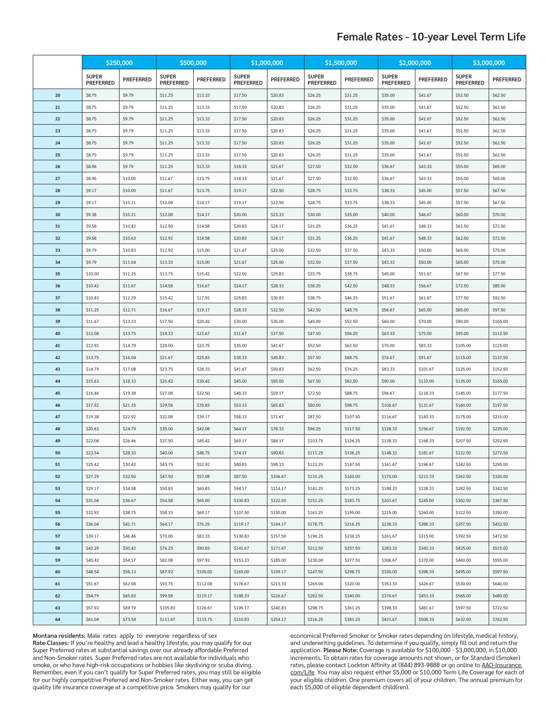# **Female Rates - 10-year Level Term Life**

|          | \$250,000                        |                  |                                  | \$500,000        |                                  | \$1,000,000      | \$1,500,000                      |                  | \$2,000,000                      |                  | \$3,000,000                      |                  |
|----------|----------------------------------|------------------|----------------------------------|------------------|----------------------------------|------------------|----------------------------------|------------------|----------------------------------|------------------|----------------------------------|------------------|
|          | <b>SUPER</b><br><b>PREFERRED</b> | <b>PREFERRED</b> | <b>SUPER</b><br><b>PREFERRED</b> | <b>PREFERRED</b> | <b>SUPER</b><br><b>PREFERRED</b> | <b>PREFERRED</b> | <b>SUPER</b><br><b>PREFERRED</b> | <b>PREFERRED</b> | <b>SUPER</b><br><b>PREFERRED</b> | <b>PREFERRED</b> | <b>SUPER</b><br><b>PREFERRED</b> | <b>PREFERRED</b> |
| 20       | \$8.75                           | \$9.79           | \$11.25                          | \$13.33          | \$17.50                          | \$20.83          | \$26.25                          | \$31.25          | \$35.00                          | \$41.67          | \$52.50                          | \$62.50          |
| 21       | \$8.75                           | \$9.79           | \$11.25                          | \$13.33          | \$17.50                          | \$20.83          | \$26.25                          | \$31.25          | \$35.00                          | \$41.67          | \$52.50                          | \$62.50          |
| 22       | \$8.75                           | \$9.79           | \$11.25                          | \$13.33          | \$17.50                          | \$20.83          | \$26.25                          | \$31.25          | \$35.00                          | \$41.67          | \$52.50                          | \$62.50          |
| 23       | \$8.75                           | \$9.79           | \$11.25                          | \$13.33          | \$17.50                          | \$20.83          | \$26.25                          | \$31.25          | \$35.00                          | \$41.67          | \$52.50                          | \$62.50          |
| 24       | \$8.75                           | \$9.79           | \$11.25                          | \$13.33          | \$17.50                          | \$20.83          | \$26.25                          | \$31.25          | \$35.00                          | \$41.67          | \$52.50                          | \$62.50          |
| 25       | \$8.75                           | \$9.79           | \$11.25                          | \$13.33          | \$17.50                          | \$20.83          | \$26.25                          | \$31.25          | \$35.00                          | \$41.67          | \$52.50                          | \$62.50          |
| 26       | \$8.96                           | \$9.79           | \$11.25                          | \$13.33          | \$18.33                          | \$21.67          | \$27.50                          | \$32.50          | \$36.67                          | \$43.33          | \$55.00                          | \$65.00          |
| 27       | \$8.96                           | \$10.00          | \$11.67                          | \$13.75          | \$18.33                          | \$21.67          | \$27.50                          | \$32.50          | \$36.67                          | \$43.33          | \$55.00                          | \$65.00          |
| 28       | \$9.17                           | \$10.00          | \$11.67                          | \$13.75          | \$19.17                          | \$22.50          | \$28.75                          | \$33.75          | \$38.33                          | \$45.00          | \$57.50                          | \$67.50          |
| 29       | \$9.17                           | \$10.21          | \$12.08                          | \$14.17          | \$19.17                          | \$22.50          | \$28.75                          | \$33.75          | \$38.33                          | \$45.00          | \$57.50                          | \$67.50          |
| 30       | \$9.38                           | \$10.21          | \$12.08                          | \$14.17          | \$20.00                          | \$23.33          | \$30.00                          | \$35.00          | \$40.00                          | \$46.67          | \$60.00                          | \$70.00          |
| 31       | \$9.58                           | \$10.42          | \$12.50                          | \$14.58          | \$20.83                          | \$24.17          | \$31.25                          | \$36.25          | \$41.67                          | \$48.33          | \$62.50                          | \$72.50          |
| 32       | \$9.58                           | \$10.63          | \$12.92                          | \$14.58          | \$20.83                          | \$24.17          | \$31.25                          | \$36.25          | \$41.67                          | \$48.33          | \$62.50                          | \$72.50          |
| 33       | \$9.79                           | \$10.83          | \$12.92                          | \$15.00          | \$21.67                          | \$25.00          | \$32.50                          | \$37.50          | \$43.33                          | \$50.00          | \$65.00                          | \$75.00          |
| 34       | \$9.79                           | \$11.04          | \$13.33                          | \$15.00          | \$21.67                          | \$25.00          | \$32.50                          | \$37.50          | \$43.33                          | \$50.00          | \$65.00                          | \$75.00          |
| 35       | \$10.00                          | \$11.25          | \$13.75                          | \$15.42          | \$22.50                          | \$25.83          | \$33.75                          | \$38.75          | \$45.00                          | \$51.67          | \$67.50                          | \$77.50          |
| 36       | \$10.42                          | \$11.67          | \$14.58                          | \$16.67          | \$24.17                          | \$28.33          | \$36.25                          | \$42.50          | \$48.33                          | \$56.67          | \$72.50                          | \$85.00          |
| 37       | \$10.83                          | \$12.29          | \$15.42                          | \$17.92          | \$25.83                          | \$30.83          | \$38.75                          | \$46.25          | \$51.67                          | \$61.67          | \$77.50                          | \$92.50          |
| 38       | \$11.25                          | \$12.71          | \$16.67                          | \$19.17          | \$28.33                          | \$32.50          | \$42.50                          | \$48.75          | \$56.67                          | \$65.00          | \$85.00                          | \$97.50          |
| 39       | \$11.67                          | \$13.33          | \$17.50                          | \$20.42          | \$30.00                          | \$35.00          | \$45.00                          | \$52.50          | \$60.00                          | \$70.00          | \$90.00                          | \$105.00         |
| 40       | \$12.08                          | \$13.75          | \$18.33                          | \$21.67          | \$31.67                          | \$37.50          | \$47.50                          | \$56.25          | \$63.33                          | \$75.00          | \$95.00                          | \$112.50         |
| 41       | \$12.92                          | \$14.79          | \$20.00                          | \$23.75          | \$35.00                          | \$41.67          | \$52.50                          | \$62.50          | \$70.00                          | \$83.33          | \$105.00                         | \$125.00         |
| 42       | \$13.75                          | \$16.04          | \$21.67                          | \$25.83          | \$38.33                          | \$45.83          | \$57.50                          | \$68.75          | \$76.67                          | \$91.67          | \$115.00                         | \$137.50         |
| 43       | \$14.79                          | \$17.08          | \$23.75                          | \$28.33          | \$41.67                          | \$50.83          | \$62.50                          | \$76.25          | \$83.33                          | \$101.67         | \$125.00                         | \$152.50         |
| 44       | \$15.63                          | \$18.33          | \$25.42                          | \$30.42          | \$45.00                          | \$55.00          | \$67.50                          | \$82.50          | \$90.00                          | \$110.00         | \$135.00                         | \$165.00         |
| 45       | \$16.46                          | \$19.38          | \$27.08                          | \$32.50          | \$48.33                          | \$59.17          | \$72.50                          | \$88.75          | \$96.67                          | \$118.33         | \$145.00                         | \$177.50         |
| 46       | \$17.92                          | \$21.25          | \$29.58                          | \$35.83          | \$53.33                          | \$65.83          | \$80.00                          | \$98.75          | \$106.67                         | \$131.67         | \$160.00                         | \$197.50         |
| 47       | \$19.38                          | \$22.92          | \$32.08                          | \$39.17          | \$58.33                          | \$71.67          | \$87.50                          | \$107.50         | \$116.67                         | \$143.33         | \$175.00                         | \$215.00         |
| 48       | \$20.63                          | \$24.79          | \$35.00                          | \$42.08          | \$64.17                          | \$78.33          | \$96.25                          | \$117.50         | \$128.33                         | \$156.67         | \$192.50                         | \$235.00         |
| 49       | \$22.08                          | \$26.46          | \$37.50                          | \$45.42          | \$69.17                          | \$84.17          | \$103.75                         | \$126.25         | \$138.33                         | \$168.33         | \$207.50                         | \$252.50         |
| 50       | \$23.54                          | \$28.33          | \$40.00                          | \$48.75          | \$74.17                          | \$90.83          | \$111.25                         | \$136.25         | \$148.33                         | \$181.67         | \$222.50                         | \$272.50         |
| 51       | \$25.42                          | \$30.42          | \$43.75                          | \$52.92          | \$80.83                          | \$98.33          | \$121.25                         | \$147.50         | \$161.67                         | \$196.67         | \$242.50                         | \$295.00         |
| 52       | \$27.29                          | \$32.50          | \$47.50                          | \$57.08          | \$87.50                          | \$106.67         | \$131.25                         | \$160.00         | \$175.00                         | \$213.33         | \$262.50                         | \$320.00         |
| 53       | \$29.17                          | \$34.58          | \$50.83                          | \$60.83          | \$94.17                          | \$114.17         | \$141.25                         | \$171.25         | \$188.33                         | \$228.33         | \$282.50                         | \$342.50         |
| 54       | \$31.04                          | \$36.67          | \$54.58                          | \$65.00          | \$100.83                         | \$122.50         | \$151.25                         | \$183.75         | \$201.67                         | \$245.00         | \$302.50                         | \$367.50         |
| 55       | \$32.92                          | \$38.75          | \$58.33                          | \$69.17          | \$107.50                         | \$130.00         | \$161.25                         | \$195.00         | \$215.00                         | \$260.00         | \$322.50                         | \$390.00         |
| 56       | \$36.04                          | \$42.71          | \$64.17                          | \$76.25          | \$119.17                         | \$144.17         | \$178.75                         | \$216.25         | \$238.33                         | \$288.33         | \$357.50                         | \$432.50         |
| 57       | \$39.17                          | \$46.46          | \$70.00                          | \$83.33          | \$130.83                         | \$157.50         | \$196.25                         | \$236.25         | \$261.67                         | \$315.00         | \$392.50                         | \$472.50         |
| 58       | \$42.29                          | \$50.42          | \$76.25                          | \$90.83          | \$141.67                         | \$171.67         | \$212.50                         | \$257.50         | \$283.33                         | \$343.33         | \$425.00                         | \$515.00         |
| 59       | \$45.42                          | \$54.17          | \$82.08                          | \$97.92          | \$153.33                         | \$185.00         | \$230.00                         | \$277.50         | \$306.67                         | \$370.00         | \$460.00                         | \$555.00         |
| 60       | \$48.54                          | \$58.13          | \$87.92                          | \$105.00         | \$165.00                         | \$199.17         | \$247.50                         | \$298.75         | \$330.00                         | \$398.33         | \$495.00                         | \$597.50         |
| 61       | \$51.67                          | \$62.08          | \$93.75                          | \$112.08         | \$176.67                         | \$213.33         | \$265.00                         | \$320.00         | \$353.33                         | \$426.67         | \$530.00                         | \$640.00         |
| 62       | \$54.79                          | \$65.83          | \$99.58                          | \$119.17         | \$188.33                         | \$226.67         | \$282.50                         | \$340.00         | \$376.67                         | \$453.33         | \$565.00                         | \$680.00         |
| 63       | \$57.92                          | \$69.79          | \$105.83                         | \$126.67         | \$199.17                         | \$240.83         | \$298.75                         | \$361.25         | \$398.33                         | \$481.67         | \$597.50                         | \$722.50         |
| $\bf 64$ | \$61.04                          | \$73.54          | \$111.67                         | \$133.75         | \$210.83                         | \$254.17         | \$316.25                         | \$381.25         | \$421.67                         | \$508.33         | \$632.50                         | \$762.50         |

**Montana residents:** Male rates apply to everyone regardless of sex

**Rate Classes:** If you're healthy and lead a healthy lifestyle, you may qualify for our Super Preferred rates at substantial savings over our already affordable Preferred and Non-Smoker rates. Super Preferred rates are not available for individuals who smoke, or who have high-risk occupations or hobbies like skydiving or scuba diving. Remember, even if you can't qualify for Super Preferred rates, you may still be eligible for our highly competitive Preferred and Non-Smoker rates. Either way, you can get quality life insurance coverage at a competitive price. Smokers may qualify for our

economical Preferred Smoker or Smoker rates depending on lifestyle, medical history, and underwriting guidelines. To determine if you qualify, simply fill out and return the application. **Please Note:** Coverage is available for \$100,000 - \$3,000,000, in \$10,000 increments. To obtain rates for coverage amounts not shown, or for Standard (Smoker) rates, please contact Lockton Affinity at (844) 893-9888 or go online to <u>AAO-Insurance.</u> com/Life. You may also request either \$5,000 or \$10,000 Term Life Coverage for each of your eligible children. One premium covers all of your children. The annual premium for each \$5,000 of eligible dependent child(ren).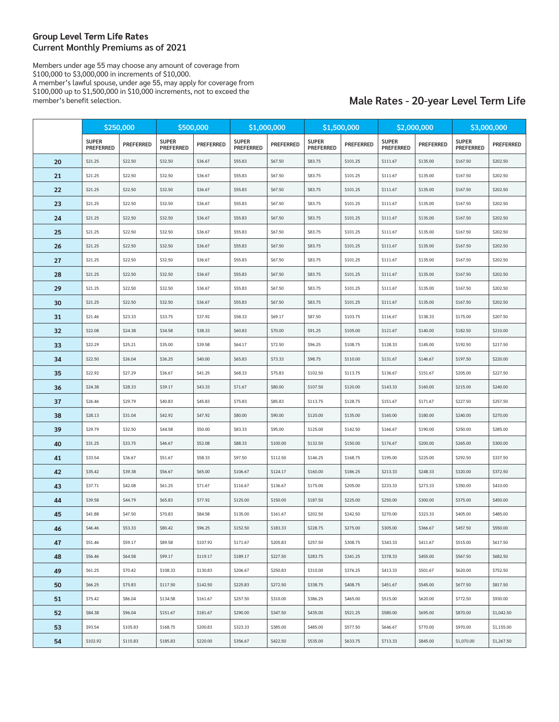### **Group Level Term Life Rates Current Monthly Premiums as of 2021**

Members under age 55 may choose any amount of coverage from \$100,000 to \$3,000,000 in increments of \$10,000. A member's lawful spouse, under age 55, may apply for coverage from \$100,000 up to \$1,500,000 in \$10,000 increments, not to exceed the member's benefit selection.

# **Male Rates - 20-year Level Term Life**

|    | \$250,000                        |                  | \$500,000                        |                  | \$1,000,000                      |                  | \$1,500,000                      |           | \$2,000,000                      |                  | \$3,000,000                      |                  |
|----|----------------------------------|------------------|----------------------------------|------------------|----------------------------------|------------------|----------------------------------|-----------|----------------------------------|------------------|----------------------------------|------------------|
|    | <b>SUPER</b><br><b>PREFERRED</b> | <b>PREFERRED</b> | <b>SUPER</b><br><b>PREFERRED</b> | <b>PREFERRED</b> | <b>SUPER</b><br><b>PREFERRED</b> | <b>PREFERRED</b> | <b>SUPER</b><br><b>PREFERRED</b> | PREFERRED | <b>SUPER</b><br><b>PREFERRED</b> | <b>PREFERRED</b> | <b>SUPER</b><br><b>PREFERRED</b> | <b>PREFERRED</b> |
| 20 | \$21.25                          | \$22.50          | \$32.50                          | \$36.67          | \$55.83                          | \$67.50          | \$83.75                          | \$101.25  | \$111.67                         | \$135.00         | \$167.50                         | \$202.50         |
| 21 | \$21.25                          | \$22.50          | \$32.50                          | \$36.67          | \$55.83                          | \$67.50          | \$83.75                          | \$101.25  | \$111.67                         | \$135.00         | \$167.50                         | \$202.50         |
| 22 | \$21.25                          | \$22.50          | \$32.50                          | \$36.67          | \$55.83                          | \$67.50          | \$83.75                          | \$101.25  | \$111.67                         | \$135.00         | \$167.50                         | \$202.50         |
| 23 | \$21.25                          | \$22.50          | \$32.50                          | \$36.67          | \$55.83                          | \$67.50          | \$83.75                          | \$101.25  | \$111.67                         | \$135.00         | \$167.50                         | \$202.50         |
| 24 | \$21.25                          | \$22.50          | \$32.50                          | \$36.67          | \$55.83                          | \$67.50          | \$83.75                          | \$101.25  | \$111.67                         | \$135.00         | \$167.50                         | \$202.50         |
| 25 | \$21.25                          | \$22.50          | \$32.50                          | \$36.67          | \$55.83                          | \$67.50          | \$83.75                          | \$101.25  | \$111.67                         | \$135.00         | \$167.50                         | \$202.50         |
| 26 | \$21.25                          | \$22.50          | \$32.50                          | \$36.67          | \$55.83                          | \$67.50          | \$83.75                          | \$101.25  | \$111.67                         | \$135.00         | \$167.50                         | \$202.50         |
| 27 | \$21.25                          | \$22.50          | \$32.50                          | \$36.67          | \$55.83                          | \$67.50          | \$83.75                          | \$101.25  | \$111.67                         | \$135.00         | \$167.50                         | \$202.50         |
| 28 | \$21.25                          | \$22.50          | \$32.50                          | \$36.67          | \$55.83                          | \$67.50          | \$83.75                          | \$101.25  | \$111.67                         | \$135.00         | \$167.50                         | \$202.50         |
| 29 | \$21.25                          | \$22.50          | \$32.50                          | \$36.67          | \$55.83                          | \$67.50          | \$83.75                          | \$101.25  | \$111.67                         | \$135.00         | \$167.50                         | \$202.50         |
| 30 | \$21.25                          | \$22.50          | \$32.50                          | \$36.67          | \$55.83                          | \$67.50          | \$83.75                          | \$101.25  | \$111.67                         | \$135.00         | \$167.50                         | \$202.50         |
| 31 | \$21.46                          | \$23.33          | \$33.75                          | \$37.92          | \$58.33                          | \$69.17          | \$87.50                          | \$103.75  | \$116.67                         | \$138.33         | \$175.00                         | \$207.50         |
| 32 | \$22.08                          | \$24.38          | \$34.58                          | \$38.33          | \$60.83                          | \$70.00          | \$91.25                          | \$105.00  | \$121.67                         | \$140.00         | \$182.50                         | \$210.00         |
| 33 | \$22.29                          | \$25.21          | \$35.00                          | \$39.58          | \$64.17                          | \$72.50          | \$96.25                          | \$108.75  | \$128.33                         | \$145.00         | \$192.50                         | \$217.50         |
| 34 | \$22.50                          | \$26.04          | \$36.25                          | \$40.00          | \$65.83                          | \$73.33          | \$98.75                          | \$110.00  | \$131.67                         | \$146.67         | \$197.50                         | \$220.00         |
| 35 | \$22.92                          | \$27.29          | \$36.67                          | \$41.25          | \$68.33                          | \$75.83          | \$102.50                         | \$113.75  | \$136.67                         | \$151.67         | \$205.00                         | \$227.50         |
| 36 | \$24.38                          | \$28.33          | \$39.17                          | \$43.33          | \$71.67                          | \$80.00          | \$107.50                         | \$120.00  | \$143.33                         | \$160.00         | \$215.00                         | \$240.00         |
| 37 | \$26.46                          | \$29.79          | \$40.83                          | \$45.83          | \$75.83                          | \$85.83          | \$113.75                         | \$128.75  | \$151.67                         | \$171.67         | \$227.50                         | \$257.50         |
| 38 | \$28.13                          | \$31.04          | \$42.92                          | \$47.92          | \$80.00                          | \$90.00          | \$120.00                         | \$135.00  | \$160.00                         | \$180.00         | \$240.00                         | \$270.00         |
| 39 | \$29.79                          | \$32.50          | \$44.58                          | \$50.00          | \$83.33                          | \$95.00          | \$125.00                         | \$142.50  | \$166.67                         | \$190.00         | \$250.00                         | \$285.00         |
| 40 | \$31.25                          | \$33.75          | \$46.67                          | \$52.08          | \$88.33                          | \$100.00         | \$132.50                         | \$150.00  | \$176.67                         | \$200.00         | \$265.00                         | \$300.00         |
| 41 | \$33.54                          | \$36.67          | \$51.67                          | \$58.33          | \$97.50                          | \$112.50         | \$146.25                         | \$168.75  | \$195.00                         | \$225.00         | \$292.50                         | \$337.50         |
| 42 | \$35.42                          | \$39.38          | \$56.67                          | \$65.00          | \$106.67                         | \$124.17         | \$160.00                         | \$186.25  | \$213.33                         | \$248.33         | \$320.00                         | \$372.50         |
| 43 | \$37.71                          | \$42.08          | \$61.25                          | \$71.67          | \$116.67                         | \$136.67         | \$175.00                         | \$205.00  | \$233.33                         | \$273.33         | \$350.00                         | \$410.00         |
| 44 | \$39.58                          | \$44.79          | \$65.83                          | \$77.92          | \$125.00                         | \$150.00         | \$187.50                         | \$225.00  | \$250.00                         | \$300.00         | \$375.00                         | \$450.00         |
| 45 | \$41.88                          | \$47.50          | \$70.83                          | \$84.58          | \$135.00                         | \$161.67         | \$202.50                         | \$242.50  | \$270.00                         | \$323.33         | \$405.00                         | \$485.00         |
| 46 | \$46.46                          | \$53.33          | \$80.42                          | \$96.25          | \$152.50                         | \$183.33         | \$228.75                         | \$275.00  | \$305.00                         | \$366.67         | \$457.50                         | \$550.00         |
| 47 | \$51.46                          | \$59.17          | \$89.58                          | \$107.92         | \$171.67                         | \$205.83         | \$257.50                         | \$308.75  | \$343.33                         | \$411.67         | \$515.00                         | \$617.50         |
| 48 | \$56.46                          | \$64.58          | \$99.17                          | \$119.17         | \$189.17                         | \$227.50         | \$283.75                         | \$341.25  | \$378.33                         | \$455.00         | \$567.50                         | \$682.50         |
| 49 | \$61.25                          | \$70.42          | \$108.33                         | \$130.83         | \$206.67                         | \$250.83         | \$310.00                         | \$376.25  | \$413.33                         | \$501.67         | \$620.00                         | \$752.50         |
| 50 | \$66.25                          | \$75.83          | \$117.50                         | \$142.50         | \$225.83                         | \$272.50         | \$338.75                         | \$408.75  | \$451.67                         | \$545.00         | \$677.50                         | \$817.50         |
| 51 | \$75.42                          | \$86.04          | \$134.58                         | \$161.67         | \$257.50                         | \$310.00         | \$386.25                         | \$465.00  | \$515.00                         | \$620.00         | \$772.50                         | \$930.00         |
| 52 | \$84.38                          | \$96.04          | \$151.67                         | \$181.67         | \$290.00                         | \$347.50         | \$435.00                         | \$521.25  | \$580.00                         | \$695.00         | \$870.00                         | \$1,042.50       |
| 53 | \$93.54                          | \$105.83         | \$168.75                         | \$200.83         | \$323.33                         | \$385.00         | \$485.00                         | \$577.50  | \$646.67                         | \$770.00         | \$970.00                         | \$1,155.00       |
| 54 | \$102.92                         | \$115.83         | \$185.83                         | \$220.00         | \$356.67                         | \$422.50         | \$535.00                         | \$633.75  | \$713.33                         | \$845.00         | \$1,070.00                       | \$1,267.50       |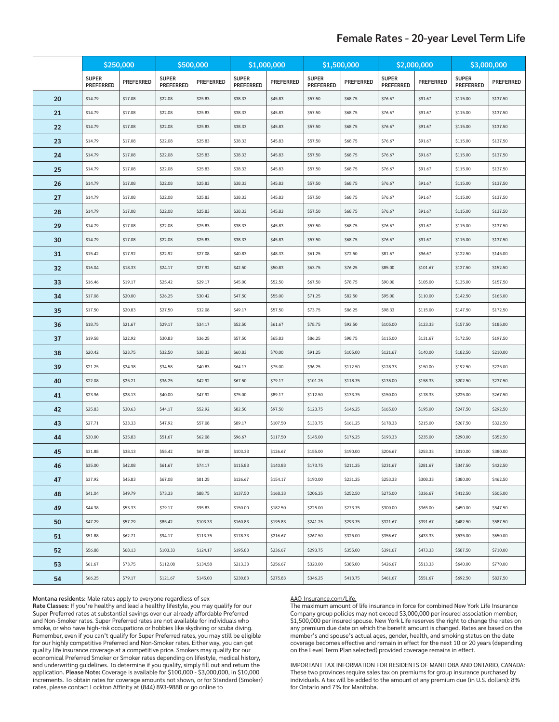# **Female Rates - 20-year Level Term Life**

|    | \$250,000                        |                  | \$500,000                        |                  | \$1,000,000                      |                  | \$1,500,000                      |                  | \$2,000,000                      |                  | \$3,000,000                      |                  |
|----|----------------------------------|------------------|----------------------------------|------------------|----------------------------------|------------------|----------------------------------|------------------|----------------------------------|------------------|----------------------------------|------------------|
|    | <b>SUPER</b><br><b>PREFERRED</b> | <b>PREFERRED</b> | <b>SUPER</b><br><b>PREFERRED</b> | <b>PREFERRED</b> | <b>SUPER</b><br><b>PREFERRED</b> | <b>PREFERRED</b> | <b>SUPER</b><br><b>PREFERRED</b> | <b>PREFERRED</b> | <b>SUPER</b><br><b>PREFERRED</b> | <b>PREFERRED</b> | <b>SUPER</b><br><b>PREFERRED</b> | <b>PREFERRED</b> |
| 20 | \$14.79                          | \$17.08          | \$22.08                          | \$25.83          | \$38.33                          | \$45.83          | \$57.50                          | \$68.75          | \$76.67                          | \$91.67          | \$115.00                         | \$137.50         |
| 21 | \$14.79                          | \$17.08          | \$22.08                          | \$25.83          | \$38.33                          | \$45.83          | \$57.50                          | \$68.75          | \$76.67                          | \$91.67          | \$115.00                         | \$137.50         |
| 22 | \$14.79                          | \$17.08          | \$22.08                          | \$25.83          | \$38.33                          | \$45.83          | \$57.50                          | \$68.75          | \$76.67                          | \$91.67          | \$115.00                         | \$137.50         |
| 23 | \$14.79                          | \$17.08          | \$22.08                          | \$25.83          | \$38.33                          | \$45.83          | \$57.50                          | \$68.75          | \$76.67                          | \$91.67          | \$115.00                         | \$137.50         |
| 24 | \$14.79                          | \$17.08          | \$22.08                          | \$25.83          | \$38.33                          | \$45.83          | \$57.50                          | \$68.75          | \$76.67                          | \$91.67          | \$115.00                         | \$137.50         |
| 25 | \$14.79                          | \$17.08          | \$22.08                          | \$25.83          | \$38.33                          | \$45.83          | \$57.50                          | \$68.75          | \$76.67                          | \$91.67          | \$115.00                         | \$137.50         |
| 26 | \$14.79                          | \$17.08          | \$22.08                          | \$25.83          | \$38.33                          | \$45.83          | \$57.50                          | \$68.75          | \$76.67                          | \$91.67          | \$115.00                         | \$137.50         |
| 27 | \$14.79                          | \$17.08          | \$22.08                          | \$25.83          | \$38.33                          | \$45.83          | \$57.50                          | \$68.75          | \$76.67                          | \$91.67          | \$115.00                         | \$137.50         |
| 28 | \$14.79                          | \$17.08          | \$22.08                          | \$25.83          | \$38.33                          | \$45.83          | \$57.50                          | \$68.75          | \$76.67                          | \$91.67          | \$115.00                         | \$137.50         |
| 29 | \$14.79                          | \$17.08          | \$22.08                          | \$25.83          | \$38.33                          | \$45.83          | \$57.50                          | \$68.75          | \$76.67                          | \$91.67          | \$115.00                         | \$137.50         |
| 30 | \$14.79                          | \$17.08          | \$22.08                          | \$25.83          | \$38.33                          | \$45.83          | \$57.50                          | \$68.75          | \$76.67                          | \$91.67          | \$115.00                         | \$137.50         |
| 31 | \$15.42                          | \$17.92          | \$22.92                          | \$27.08          | \$40.83                          | \$48.33          | \$61.25                          | \$72.50          | \$81.67                          | \$96.67          | \$122.50                         | \$145.00         |
| 32 | \$16.04                          | \$18.33          | \$24.17                          | \$27.92          | \$42.50                          | \$50.83          | \$63.75                          | \$76.25          | \$85.00                          | \$101.67         | \$127.50                         | \$152.50         |
| 33 | \$16.46                          | \$19.17          | \$25.42                          | \$29.17          | \$45.00                          | \$52.50          | \$67.50                          | \$78.75          | \$90.00                          | \$105.00         | \$135.00                         | \$157.50         |
| 34 | \$17.08                          | \$20.00          | \$26.25                          | \$30.42          | \$47.50                          | \$55.00          | \$71.25                          | \$82.50          | \$95.00                          | \$110.00         | \$142.50                         | \$165.00         |
| 35 | \$17.50                          | \$20.83          | \$27.50                          | \$32.08          | \$49.17                          | \$57.50          | \$73.75                          | \$86.25          | \$98.33                          | \$115.00         | \$147.50                         | \$172.50         |
| 36 | \$18.75                          | \$21.67          | \$29.17                          | \$34.17          | \$52.50                          | \$61.67          | \$78.75                          | \$92.50          | \$105.00                         | \$123.33         | \$157.50                         | \$185.00         |
| 37 | \$19.58                          | \$22.92          | \$30.83                          | \$36.25          | \$57.50                          | \$65.83          | \$86.25                          | \$98.75          | \$115.00                         | \$131.67         | \$172.50                         | \$197.50         |
| 38 | \$20.42                          | \$23.75          | \$32.50                          | \$38.33          | \$60.83                          | \$70.00          | \$91.25                          | \$105.00         | \$121.67                         | \$140.00         | \$182.50                         | \$210.00         |
| 39 | \$21.25                          | \$24.38          | \$34.58                          | \$40.83          | \$64.17                          | \$75.00          | \$96.25                          | \$112.50         | \$128.33                         | \$150.00         | \$192.50                         | \$225.00         |
| 40 | \$22.08                          | \$25.21          | \$36.25                          | \$42.92          | \$67.50                          | \$79.17          | \$101.25                         | \$118.75         | \$135.00                         | \$158.33         | \$202.50                         | \$237.50         |
| 41 | \$23.96                          | \$28.13          | \$40.00                          | \$47.92          | \$75.00                          | \$89.17          | \$112.50                         | \$133.75         | \$150.00                         | \$178.33         | \$225.00                         | \$267.50         |
| 42 | \$25.83                          | \$30.63          | \$44.17                          | \$52.92          | \$82.50                          | \$97.50          | \$123.75                         | \$146.25         | \$165.00                         | \$195.00         | \$247.50                         | \$292.50         |
| 43 | \$27.71                          | \$33.33          | \$47.92                          | \$57.08          | \$89.17                          | \$107.50         | \$133.75                         | \$161.25         | \$178.33                         | \$215.00         | \$267.50                         | \$322.50         |
| 44 | \$30.00                          | \$35.83          | \$51.67                          | \$62.08          | \$96.67                          | \$117.50         | \$145.00                         | \$176.25         | \$193.33                         | \$235.00         | \$290.00                         | \$352.50         |
| 45 | \$31.88                          | \$38.13          | \$55.42                          | \$67.08          | \$103.33                         | \$126.67         | \$155.00                         | \$190.00         | \$206.67                         | \$253.33         | \$310.00                         | \$380.00         |
| 46 | \$35.00                          | \$42.08          | \$61.67                          | \$74.17          | \$115.83                         | \$140.83         | \$173.75                         | \$211.25         | \$231.67                         | \$281.67         | \$347.50                         | \$422.50         |
| 47 | \$37.92                          | \$45.83          | \$67.08                          | \$81.25          | \$126.67                         | \$154.17         | \$190.00                         | \$231.25         | \$253.33                         | \$308.33         | \$380.00                         | \$462.50         |
| 48 | \$41.04                          | \$49.79          | \$73.33                          | \$88.75          | \$137.50                         | \$168.33         | \$206.25                         | \$252.50         | \$275.00                         | \$336.67         | \$412.50                         | \$505.00         |
| 49 | \$44.38                          | \$53.33          | \$79.17                          | \$95.83          | \$150.00                         | \$182.50         | \$225.00                         | \$273.75         | \$300.00                         | \$365.00         | \$450.00                         | \$547.50         |
| 50 | \$47.29                          | \$57.29          | \$85.42                          | \$103.33         | \$160.83                         | \$195.83         | \$241.25                         | \$293.75         | \$321.67                         | \$391.67         | \$482.50                         | \$587.50         |
| 51 | \$51.88                          | \$62.71          | \$94.17                          | \$113.75         | \$178.33                         | \$216.67         | \$267.50                         | \$325.00         | \$356.67                         | \$433.33         | \$535.00                         | \$650.00         |
| 52 | \$56.88                          | \$68.13          | \$103.33                         | \$124.17         | \$195.83                         | \$236.67         | \$293.75                         | \$355.00         | \$391.67                         | \$473.33         | \$587.50                         | \$710.00         |
| 53 | \$61.67                          | \$73.75          | \$112.08                         | \$134.58         | \$213.33                         | \$256.67         | \$320.00                         | \$385.00         | \$426.67                         | \$513.33         | \$640.00                         | \$770.00         |
| 54 | \$66.25                          | \$79.17          | \$121.67                         | \$145.00         | \$230.83                         | \$275.83         | \$346.25                         | \$413.75         | \$461.67                         | \$551.67         | \$692.50                         | \$827.50         |

#### **Montana residents:** Male rates apply to everyone regardless of sex

**Rate Classes:** If you're healthy and lead a healthy lifestyle, you may qualify for our Super Preferred rates at substantial savings over our already affordable Preferred and Non-Smoker rates. Super Preferred rates are not available for individuals who smoke, or who have high-risk occupations or hobbies like skydiving or scuba diving. Remember, even if you can't qualify for Super Preferred rates, you may still be eligible for our highly competitive Preferred and Non-Smoker rates. Either way, you can get quality life insurance coverage at a competitive price. Smokers may qualify for our economical Preferred Smoker or Smoker rates depending on lifestyle, medical history, and underwriting guidelines. To determine if you qualify, simply fill out and return the application. **Please Note:** Coverage is available for \$100,000 - \$3,000,000, in \$10,000 increments. To obtain rates for coverage amounts not shown, or for Standard (Smoker) rates, please contact Lockton Affinity at (844) 893-9888 or go online to

#### AAO-Insurance.com/Life.

The maximum amount of life insurance in force for combined New York Life Insurance Company group policies may not exceed \$3,000,000 per insured association member; \$1,500,000 per insured spouse. New York Life reserves the right to change the rates on any premium due date on which the benefit amount is changed. Rates are based on the member's and spouse's actual ages, gender, health, and smoking status on the date coverage becomes effective and remain in effect for the next 10 or 20 years (depending on the Level Term Plan selected) provided coverage remains in effect.

IMPORTANT TAX INFORMATION FOR RESIDENTS OF MANITOBA AND ONTARIO, CANADA: These two provinces require sales tax on premiums for group insurance purchased by individuals. A tax will be added to the amount of any premium due (in U.S. dollars): 8% for Ontario and 7% for Manitoba.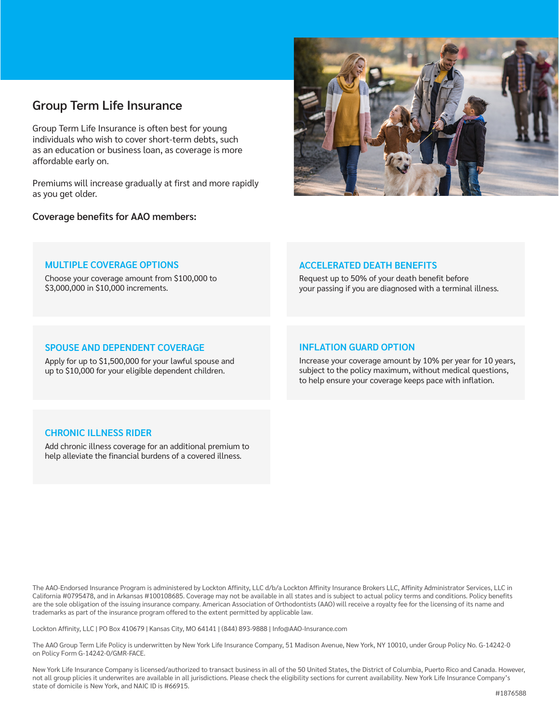# **Group Term Life Insurance**

Group Term Life Insurance is often best for young individuals who wish to cover short-term debts, such as an education or business loan, as coverage is more affordable early on.

Premiums will increase gradually at first and more rapidly as you get older.

**Coverage benefits for AAO members:** 



### **MULTIPLE COVERAGE OPTIONS**

Choose your coverage amount from \$100,000 to \$3,000,000 in \$10,000 increments.

## **ACCELERATED DEATH BENEFITS**

Request up to 50% of your death benefit before your passing if you are diagnosed with a terminal illness.

### **SPOUSE AND DEPENDENT COVERAGE**

Apply for up to \$1,500,000 for your lawful spouse and up to \$10,000 for your eligible dependent children.

### **INFLATION GUARD OPTION**

Increase your coverage amount by 10% per year for 10 years, subject to the policy maximum, without medical questions, to help ensure your coverage keeps pace with inflation.

# **CHRONIC ILLNESS RIDER**

Add chronic illness coverage for an additional premium to help alleviate the financial burdens of a covered illness.

The AAO-Endorsed Insurance Program is administered by Lockton Affinity, LLC d/b/a Lockton Affinity Insurance Brokers LLC, Affinity Administrator Services, LLC in California #0795478, and in Arkansas #100108685. Coverage may not be available in all states and is subject to actual policy terms and conditions. Policy benefits are the sole obligation of the issuing insurance company. American Association of Orthodontists (AAO) will receive a royalty fee for the licensing of its name and trademarks as part of the insurance program offered to the extent permitted by applicable law.

Lockton Affinity, LLC | PO Box 410679 | Kansas City, MO 64141 | (844) 893-9888 | Info@AAO-Insurance.com

The AAO Group Term Life Policy is underwritten by New York Life Insurance Company, 51 Madison Avenue, New York, NY 10010, under Group Policy No. G-14242-0 on Policy Form G-14242-0/GMR-FACE.

New York Life Insurance Company is licensed/authorized to transact business in all of the 50 United States, the District of Columbia, Puerto Rico and Canada. However, not all group plicies it underwrites are available in all jurisdictions. Please check the eligibility sections for current availability. New York Life Insurance Company's state of domicile is New York, and NAIC ID is #66915.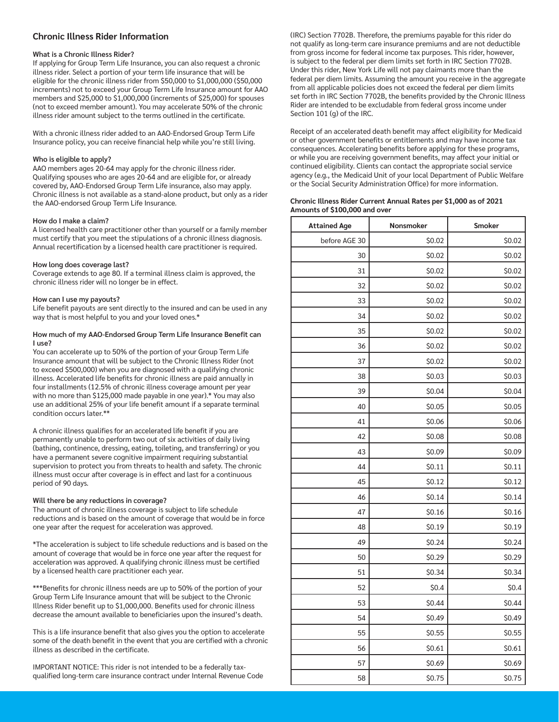### **Chronic Illness Rider Information**

#### **What is a Chronic Illness Rider?**

If applying for Group Term Life Insurance, you can also request a chronic illness rider. Select a portion of your term life insurance that will be eligible for the chronic illness rider from \$50,000 to \$1,000,000 (\$50,000 increments) not to exceed your Group Term Life Insurance amount for AAO members and \$25,000 to \$1,000,000 (increments of \$25,000) for spouses (not to exceed member amount). You may accelerate 50% of the chronic illness rider amount subject to the terms outlined in the certificate.

With a chronic illness rider added to an AAO-Endorsed Group Term Life Insurance policy, you can receive financial help while you're still living.

#### **Who is eligible to apply?**

AAO members ages 20-64 may apply for the chronic illness rider. Qualifying spouses who are ages 20-64 and are eligible for, or already covered by, AAO-Endorsed Group Term Life insurance, also may apply. Chronic illness is not available as a stand-alone product, but only as a rider the AAO-endorsed Group Term Life Insurance.

#### **How do I make a claim?**

A licensed health care practitioner other than yourself or a family member must certify that you meet the stipulations of a chronic illness diagnosis. Annual recertification by a licensed health care practitioner is required.

#### **How long does coverage last?**

Coverage extends to age 80. If a terminal illness claim is approved, the chronic illness rider will no longer be in effect.

#### **How can I use my payouts?**

Life benefit payouts are sent directly to the insured and can be used in any way that is most helpful to you and your loved ones.\*

#### **How much of my AAO-Endorsed Group Term Life Insurance Benefit can I use?**

You can accelerate up to 50% of the portion of your Group Term Life Insurance amount that will be subject to the Chronic Illness Rider (not to exceed \$500,000) when you are diagnosed with a qualifying chronic illness. Accelerated life benefits for chronic illness are paid annually in four installments (12.5% of chronic illness coverage amount per year with no more than \$125,000 made payable in one year).\* You may also use an additional 25% of your life benefit amount if a separate terminal condition occurs later.\*\*

A chronic illness qualifies for an accelerated life benefit if you are permanently unable to perform two out of six activities of daily living (bathing, continence, dressing, eating, toileting, and transferring) or you have a permanent severe cognitive impairment requiring substantial supervision to protect you from threats to health and safety. The chronic illness must occur after coverage is in effect and last for a continuous period of 90 days.

#### **Will there be any reductions in coverage?**

The amount of chronic illness coverage is subject to life schedule reductions and is based on the amount of coverage that would be in force one year after the request for acceleration was approved.

\*The acceleration is subject to life schedule reductions and is based on the amount of coverage that would be in force one year after the request for acceleration was approved. A qualifying chronic illness must be certified by a licensed health care practitioner each year.

\*\*\*Benefits for chronic illness needs are up to 50% of the portion of your Group Term Life Insurance amount that will be subject to the Chronic Illness Rider benefit up to \$1,000,000. Benefits used for chronic illness decrease the amount available to beneficiaries upon the insured's death.

This is a life insurance benefit that also gives you the option to accelerate some of the death benefit in the event that you are certified with a chronic illness as described in the certificate.

IMPORTANT NOTICE: This rider is not intended to be a federally taxqualified long-term care insurance contract under Internal Revenue Code (IRC) Section 7702B. Therefore, the premiums payable for this rider do not qualify as long-term care insurance premiums and are not deductible from gross income for federal income tax purposes. This rider, however, is subject to the federal per diem limits set forth in IRC Section 7702B. Under this rider, New York Life will not pay claimants more than the federal per diem limits. Assuming the amount you receive in the aggregate from all applicable policies does not exceed the federal per diem limits set forth in IRC Section 7702B, the benefits provided by the Chronic Illness Rider are intended to be excludable from federal gross income under Section 101 (g) of the IRC.

Receipt of an accelerated death benefit may affect eligibility for Medicaid or other government benefits or entitlements and may have income tax consequences. Accelerating benefits before applying for these programs, or while you are receiving government benefits, may affect your initial or continued eligibility. Clients can contact the appropriate social service agency (e.g., the Medicaid Unit of your local Department of Public Welfare or the Social Security Administration Office) for more information.

#### **Chronic Illness Rider Current Annual Rates per \$1,000 as of 2021 Amounts of \$100,000 and over**

| <b>Attained Age</b> | Nonsmoker | Smoker |
|---------------------|-----------|--------|
| before AGE 30       | \$0.02    | \$0.02 |
| 30                  | \$0.02    | \$0.02 |
| 31                  | \$0.02    | \$0.02 |
| 32                  | \$0.02    | \$0.02 |
| 33                  | \$0.02    | \$0.02 |
| 34                  | \$0.02    | \$0.02 |
| 35                  | \$0.02    | \$0.02 |
| 36                  | \$0.02    | \$0.02 |
| 37                  | \$0.02    | \$0.02 |
| 38                  | \$0.03    | \$0.03 |
| 39                  | \$0.04    | \$0.04 |
| 40                  | \$0.05    | \$0.05 |
| 41                  | \$0.06    | \$0.06 |
| 42                  | \$0.08    | \$0.08 |
| 43                  | \$0.09    | \$0.09 |
| 44                  | \$0.11    | \$0.11 |
| 45                  | \$0.12    | \$0.12 |
| 46                  | \$0.14    | \$0.14 |
| 47                  | \$0.16    | \$0.16 |
| 48                  | \$0.19    | \$0.19 |
| 49                  | \$0.24    | \$0.24 |
| 50                  | \$0.29    | \$0.29 |
| 51                  | \$0.34    | \$0.34 |
| 52                  | \$0.4     | \$0.4  |
| 53                  | \$0.44    | \$0.44 |
| 54                  | \$0.49    | \$0.49 |
| 55                  | \$0.55    | \$0.55 |
| 56                  | \$0.61    | \$0.61 |
| 57                  | \$0.69    | \$0.69 |
| 58                  | \$0.75    | \$0.75 |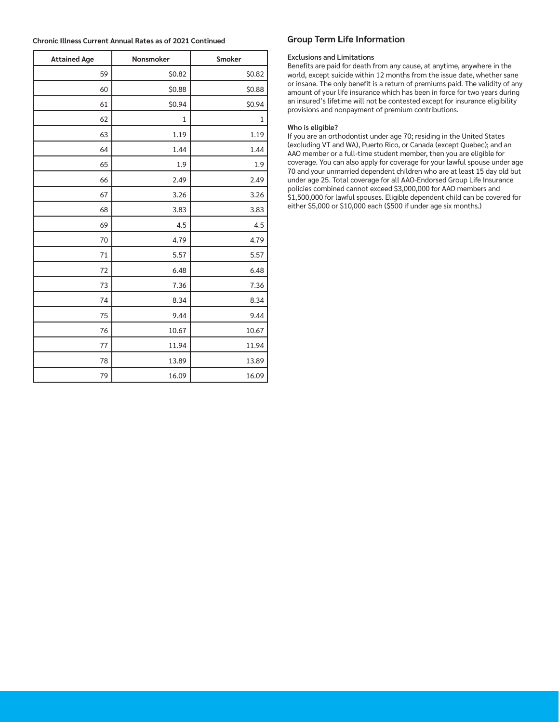| <b>Chronic Illness Current Annual Rates as of 2021 Continued</b> |
|------------------------------------------------------------------|
|                                                                  |

| <b>Attained Age</b> | Nonsmoker | Smoker       |
|---------------------|-----------|--------------|
| 59                  | \$0.82    | \$0.82       |
| 60                  | \$0.88    | \$0.88       |
| 61                  | \$0.94    | \$0.94       |
| 62                  | 1         | $\mathbf{1}$ |
| 63                  | 1.19      | 1.19         |
| 64                  | 1.44      | 1.44         |
| 65                  | 1.9       | 1.9          |
| 66                  | 2.49      | 2.49         |
| 67                  | 3.26      | 3.26         |
| 68                  | 3.83      | 3.83         |
| 69                  | 4.5       | 4.5          |
| 70                  | 4.79      | 4.79         |
| 71                  | 5.57      | 5.57         |
| 72                  | 6.48      | 6.48         |
| 73                  | 7.36      | 7.36         |
| 74                  | 8.34      | 8.34         |
| 75                  | 9.44      | 9.44         |
| 76                  | 10.67     | 10.67        |
| 77                  | 11.94     | 11.94        |
| 78                  | 13.89     | 13.89        |
| 79                  | 16.09     | 16.09        |

### **Group Term Life Information**

#### **Exclusions and Limitations**

Benefits are paid for death from any cause, at anytime, anywhere in the world, except suicide within 12 months from the issue date, whether sane or insane. The only benefit is a return of premiums paid. The validity of any amount of your life insurance which has been in force for two years during an insured's lifetime will not be contested except for insurance eligibility provisions and nonpayment of premium contributions.

#### **Who is eligible?**

If you are an orthodontist under age 70; residing in the United States (excluding VT and WA), Puerto Rico, or Canada (except Quebec); and an AAO member or a full-time student member, then you are eligible for coverage. You can also apply for coverage for your lawful spouse under age 70 and your unmarried dependent children who are at least 15 day old but under age 25. Total coverage for all AAO-Endorsed Group Life Insurance policies combined cannot exceed \$3,000,000 for AAO members and \$1,500,000 for lawful spouses. Eligible dependent child can be covered for either \$5,000 or \$10,000 each (\$500 if under age six months.)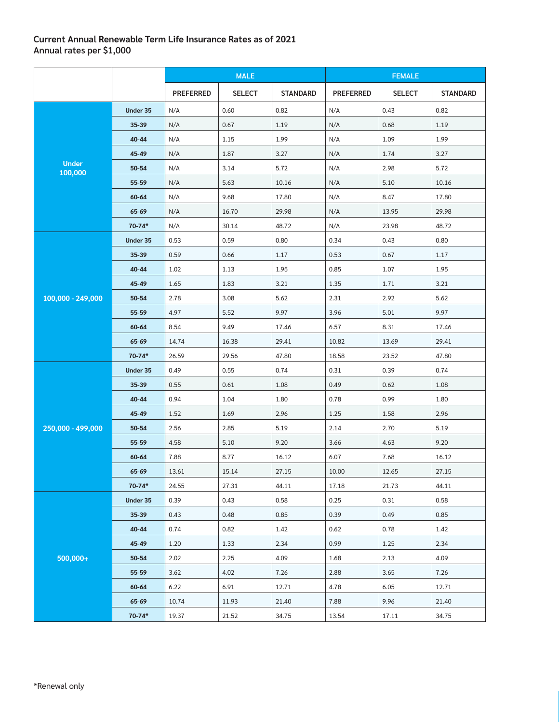# **Current Annual Renewable Term Life Insurance Rates as of 2021 Annual rates per \$1,000**

|                         |            | <b>MALE</b>      |               | <b>FEMALE</b>   |                  |               |                 |  |
|-------------------------|------------|------------------|---------------|-----------------|------------------|---------------|-----------------|--|
|                         |            | <b>PREFERRED</b> | <b>SELECT</b> | <b>STANDARD</b> | <b>PREFERRED</b> | <b>SELECT</b> | <b>STANDARD</b> |  |
|                         | Under 35   | N/A              | 0.60          | 0.82            | N/A              | 0.43          | 0.82            |  |
|                         | 35-39      | N/A              | 0.67          | 1.19            | N/A              | 0.68          | 1.19            |  |
|                         | 40-44      | N/A              | 1.15          | 1.99            | N/A              | 1.09          | 1.99            |  |
|                         | 45-49      | N/A              | 1.87          | 3.27            | N/A              | 1.74          | 3.27            |  |
| <b>Under</b><br>100,000 | 50-54      | N/A              | 3.14          | 5.72            | N/A              | 2.98          | 5.72            |  |
|                         | 55-59      | N/A              | 5.63          | 10.16           | N/A              | 5.10          | 10.16           |  |
|                         | 60-64      | N/A              | 9.68          | 17.80           | N/A              | 8.47          | 17.80           |  |
|                         | 65-69      | N/A              | 16.70         | 29.98           | N/A              | 13.95         | 29.98           |  |
|                         | $70 - 74*$ | N/A              | 30.14         | 48.72           | N/A              | 23.98         | 48.72           |  |
|                         | Under 35   | 0.53             | 0.59          | 0.80            | 0.34             | 0.43          | 0.80            |  |
|                         | 35-39      | 0.59             | 0.66          | 1.17            | 0.53             | 0.67          | 1.17            |  |
|                         | 40-44      | 1.02             | 1.13          | 1.95            | 0.85             | 1.07          | 1.95            |  |
|                         | 45-49      | 1.65             | 1.83          | 3.21            | 1.35             | 1.71          | 3.21            |  |
| 100,000 - 249,000       | 50-54      | 2.78             | 3.08          | 5.62            | 2.31             | 2.92          | 5.62            |  |
|                         | 55-59      | 4.97             | 5.52          | 9.97            | 3.96             | 5.01          | 9.97            |  |
|                         | 60-64      | 8.54             | 9.49          | 17.46           | 6.57             | 8.31          | 17.46           |  |
|                         | 65-69      | 14.74            | 16.38         | 29.41           | 10.82            | 13.69         | 29.41           |  |
|                         | $70 - 74*$ | 26.59            | 29.56         | 47.80           | 18.58            | 23.52         | 47.80           |  |
|                         | Under 35   | 0.49             | 0.55          | 0.74            | 0.31             | 0.39          | 0.74            |  |
|                         | 35-39      | 0.55             | 0.61          | 1.08            | 0.49             | 0.62          | 1.08            |  |
|                         | 40-44      | 0.94             | 1.04          | 1.80            | 0.78             | 0.99          | 1.80            |  |
|                         | 45-49      | 1.52             | 1.69          | 2.96            | 1.25             | 1.58          | 2.96            |  |
| 250,000 - 499,000       | 50-54      | 2.56             | 2.85          | 5.19            | 2.14             | 2.70          | 5.19            |  |
|                         | 55-59      | 4.58             | 5.10          | 9.20            | 3.66             | 4.63          | 9.20            |  |
|                         | 60-64      | 7.88             | 8.77          | 16.12           | 6.07             | 7.68          | 16.12           |  |
|                         | 65-69      | 13.61            | 15.14         | 27.15           | 10.00            | 12.65         | 27.15           |  |
|                         | $70 - 74*$ | 24.55            | 27.31         | 44.11           | 17.18            | 21.73         | 44.11           |  |
|                         | Under 35   | 0.39             | 0.43          | 0.58            | 0.25             | 0.31          | 0.58            |  |
|                         | 35-39      | 0.43             | 0.48          | 0.85            | 0.39             | 0.49          | 0.85            |  |
|                         | 40-44      | 0.74             | 0.82          | 1.42            | 0.62             | 0.78          | 1.42            |  |
|                         | 45-49      | 1.20             | 1.33          | 2.34            | 0.99             | 1.25          | 2.34            |  |
| 500,000+                | 50-54      | 2.02             | 2.25          | 4.09            | 1.68             | 2.13          | 4.09            |  |
|                         | 55-59      | 3.62             | 4.02          | 7.26            | 2.88             | 3.65          | 7.26            |  |
|                         | 60-64      | 6.22             | 6.91          | 12.71           | 4.78             | 6.05          | 12.71           |  |
|                         | 65-69      | 10.74            | 11.93         | 21.40           | 7.88             | 9.96          | 21.40           |  |
|                         | $70 - 74*$ | 19.37            | 21.52         | 34.75           | 13.54            | 17.11         | 34.75           |  |